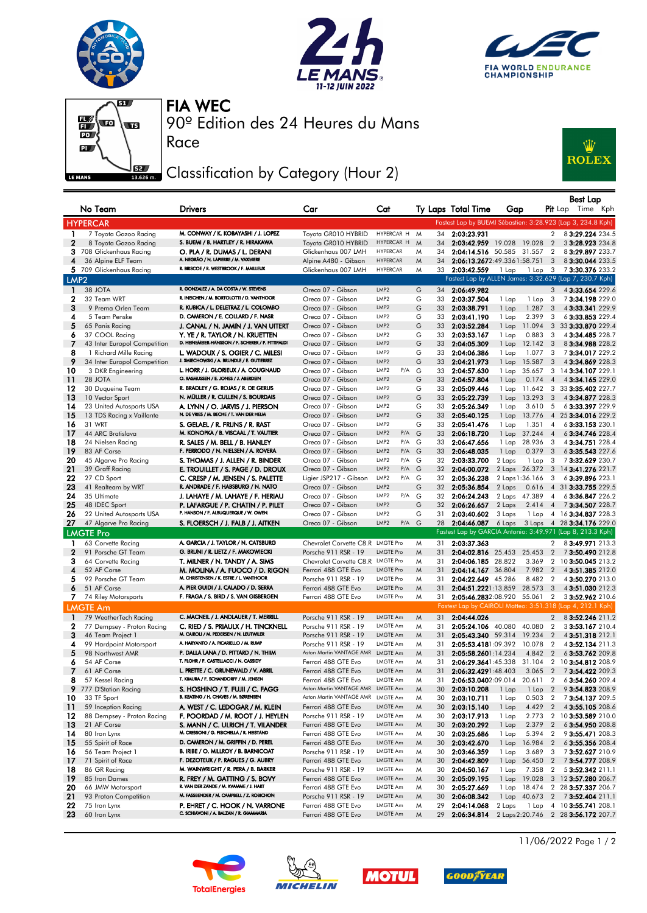







Race

90º Edition des 24 Heures du Mans FIA WEC

## Classification by Category (Hour 2)



|                  | No Team                                  | <b>Drivers</b>                                                                   | Car                                              | Cat                       |        |          | Ty Laps Total Time         | Gap                          |                         | Best Lap<br><b>Pit</b> Lap Time Kph                              |
|------------------|------------------------------------------|----------------------------------------------------------------------------------|--------------------------------------------------|---------------------------|--------|----------|----------------------------|------------------------------|-------------------------|------------------------------------------------------------------|
|                  |                                          |                                                                                  |                                                  |                           |        |          |                            |                              |                         | Fastest Lap by BUEMI Sébastien: 3:28.923 (Lap 3, 234.8 Kph)      |
| $\mathbf{1}$     | <b>HYPERCAR</b><br>7 Toyota Gazoo Racing | M. CONWAY / K. KOBAYASHI / J. LOPEZ                                              | Toyota GR010 HYBRID                              | HYPERCAR H M              |        | 34       | 2:03:23.931                |                              | $\overline{2}$          | 83:29.224 234.5                                                  |
| $\mathbf{2}$     | 8 Toyota Gazoo Racing                    | S. BUEMI / B. HARTLEY / R. HIRAKAWA                                              | Toyota GR010 HYBRID                              | HYPERCAR H                | M      | 34       |                            | 2:03:42.959 19.028 19.028    | $\overline{2}$          | 33:28.923 234.8                                                  |
|                  | 3 708 Glickenhaus Racing                 | O. PLA / R. DUMAS / L. DERANI                                                    | Glickenhaus 007 LMH                              | <b>HYPERCAR</b>           | M      | 34       |                            | 2:04:14.516 50.585 31.557    | $\overline{2}$          | 83:29.897 233.7                                                  |
| 4                | 36 Alpine ELF Team                       | A. NEGRÃO / N. LAPIERRE / M. VAXIVIERE                                           | Alpine A480 - Gibson                             | <b>HYPERCAR</b>           | M      | 34       |                            | 2:06:13.2672:49.3361:58.751  | $\overline{3}$          | 8 3:30.044 233.5                                                 |
|                  | 5 709 Glickenhaus Racing                 | R. BRISCOE / R. WESTBROOK / F. MAILLEUX                                          | Glickenhaus 007 LMH                              | <b>HYPERCAR</b>           | M      | 33       | 2:03:42.559                | 1 Lap<br>1 Lap               | $\overline{\mathbf{3}}$ | 73:30.376 233.2                                                  |
| LMP <sub>2</sub> |                                          |                                                                                  |                                                  |                           |        |          |                            |                              |                         | Fastest Lap by ALLEN James: 3:32.629 (Lap 7, 230.7 Kph)          |
| -1               | 38 JOTA                                  | R. GONZALEZ / A. DA COSTA / W. STEVENS                                           | Oreca 07 - Gibson                                | LMP <sub>2</sub>          | G      | 34       | 2:06:49.982                |                              | 3                       | 4 3:33.654 229.6                                                 |
| 2                | 32 Team WRT                              | R. INEICHEN / M. BORTOLOTTI / D. VANTHOOR                                        | Oreca 07 - Gibson                                | LMP <sub>2</sub>          | G      | 33       | 2:03:37.504                | 1 Lap<br>1 Lap               | 3                       | 73:34.198 229.0                                                  |
| 3                | 9 Prema Orlen Team                       | R. KUBICA / L. DELETRAZ / L. COLOMBO                                             | Oreca 07 - Gibson                                | LMP2                      | G      | 33       | 2:03:38.791                | 1 Lap<br>1.287               | 3                       | 4 3:33.341 229.9                                                 |
| 4                | 5 Team Penske                            | D. CAMERON / E. COLLARD / F. NASR                                                | Oreca 07 - Gibson                                | LMP2                      | G      | 33       | 2:03:41.190                | 2.399<br>1 Lap               | 3                       | 6 3:33.853 229.4                                                 |
| 5                | 65 Panis Racing                          | J. CANAL / N. JAMIN / J. VAN UITERT                                              | Oreca 07 - Gibson                                | LMP2                      | G      | 33       | 2:03:52.284                | 11.094<br>1 Lap              |                         | 3 33 3:33.870 229.4                                              |
| 6                | 37 COOL Racing                           | Y. YE / R. TAYLOR / N. KRUETTEN                                                  | Oreca 07 - Gibson                                | LMP <sub>2</sub>          | G      | 33       | 2:03:53.167                | 0.883<br>1 Lap               | 3                       | 43:34.485 228.7                                                  |
| 7                | 43 Inter Europol Competition             | D. HEINEMEIER-HANSSON / F. SCHERER / P. FITTIPALDI                               | Oreca 07 - Gibson                                | LMP2                      | G      | 33       | 2:04:05.309                | 12.142<br>1 Lap              | $_{3}$                  | 83:34.988 228.2                                                  |
| 8                | 1 Richard Mille Racing                   | L. WADOUX / S. OGIER / C. MILESI                                                 | Oreca 07 - Gibson                                | LMP <sub>2</sub>          | G      | 33       | 2:04:06.386                | 1 Lap<br>1.077               | 3                       | 73:34.017 229.2                                                  |
| 9                | 34 Inter Europol Competition             | J. SMIECHOWSKI / A. BRUNDLE / E. GUTIERREZ                                       | Oreca 07 - Gibson                                | LMP <sub>2</sub>          | G      | 33       | 2:04:21.973                | 1 Lap<br>15.587              | 3                       | 4 3:34.869 228.3                                                 |
| 10               | 3 DKR Engineering                        | L. HORR / J. GLORIEUX / A. COUGNAUD                                              | Oreca 07 - Gibson                                | LMP2<br>P/A               | G      | 33       | 2:04:57.630                | 35.657<br>1 Lap              |                         | 3 14 3:34.107 229.1                                              |
| 11               | 28 JOTA                                  | O. RASMUSSEN / E. JONES / J. ABERDEIN                                            | Oreca 07 - Gibson                                | LMP2                      | G      | 33       | 2:04:57.804                | 0.174<br>1 Lap               | $\overline{4}$          | 43:34.165 229.0                                                  |
| 12               | 30 Duqueine Team                         | R. BRADLEY / G. ROJAS / R. DE GERUS                                              | Oreca 07 - Gibson                                | LMP2                      | G      | 33       | 2:05:09.446                | 1 Lap 11.642                 | 3                       | 33 3:35.402 227.7                                                |
| 13               | 10 Vector Sport                          | N. MÜLLER / R. CULLEN / S. BOURDAIS                                              | Oreca 07 - Gibson                                | LMP2                      | G      | 33       | 2:05:22.739                | 13.293<br>1 Lap              | 3                       | 4 3:34.877 228.3                                                 |
| 14               | 23 United Autosports USA                 | A. LYNN / O. JARVIS / J. PIERSON<br>N. DE VRIES / M. BECHE / T. VAN DER HELM     | Oreca 07 - Gibson                                | LMP <sub>2</sub>          | G      | 33       | 2:05:26.349                | 3.610<br>1 Lap               | 5                       | 63:33.397 229.9                                                  |
| 15               | 13 TDS Racing x Vaillante<br>31 WRT      |                                                                                  | Oreca 07 - Gibson                                | LMP2<br>LMP <sub>2</sub>  | G<br>G | 33       | 2:05:40.125                | 13.776<br>1 Lap              | $\overline{4}$          | 25 3:34.016 229.2                                                |
| 16<br>17         | 44 ARC Bratislava                        | S. GELAEL / R. FRIJNS / R. RAST<br>M. KONOPKA / B. VISCAAL / T. VAUTIER          | Oreca 07 - Gibson<br>Oreca 07 - Gibson           | LMP2<br>P/A               | G      | 33<br>33 | 2:05:41.476<br>2:06:18.720 | 1 Lap<br>1.351<br>37.244     | $\overline{4}$          | 63:33.153 230.1<br>63:34.746 228.4                               |
| 18               | 24 Nielsen Racing                        | R. SALES / M. BELL / B. HANLEY                                                   | Oreca 07 - Gibson                                | LMP2<br>P/A G             |        | 33       | 2:06:47.656                | 1 Lap<br>28.936<br>1 Lap     | $\overline{4}$<br>3     | 4 3:34.751 228.4                                                 |
| 19               | 83 AF Corse                              | F. PERRODO / N. NIELSEN / A. ROVERA                                              | Oreca 07 - Gibson                                | LMP <sub>2</sub><br>P/A G |        | 33       | 2:06:48.035                | 0.379<br>1 Lap               | 3                       | 63:35.543 227.6                                                  |
| 20               | 45 Algarve Pro Racing                    | S. THOMAS / J. ALLEN / R. BINDER                                                 | Oreca 07 - Gibson                                | LMP2<br>$P/A$ G           |        | 32       | 2:03:33.700                | 2 Laps<br>1 Lap              | 3                       | 73:32.629 230.7                                                  |
| 21               | 39 Graff Racing                          | e. Trouillet / S. Page / D. Droux                                                | Oreca 07 - Gibson                                | LMP2<br>P/A G             |        | 32       | 2:04:00.072                | 2 Laps 26.372                | 3                       | 14 3:41.276 221.7                                                |
| 22               | 27 CD Sport                              | C. CRESP / M. JENSEN / S. PALETTE                                                | Ligier JSP217 - Gibson                           | LMP <sub>2</sub><br>P/A G |        | 32       | 2:05:36.238                | 2 Laps 1:36.166              | 3                       | 63:39.896 223.1                                                  |
| 23               | 41 Realteam by WRT                       | R. ANDRADE / F. HABSBURG / N. NATO                                               | Oreca 07 - Gibson                                | LMP <sub>2</sub>          | G      | 32       | 2:05:36.854                | 2 Laps<br>0.616              |                         | 4 31 3:33.755 229.5                                              |
| 24               | 35 Ultimate                              | J. LAHAYE / M. LAHAYE / F. HERIAU                                                | Oreca 07 - Gibson                                | LMP2<br>P/A               | G      | 32       | 2:06:24.243                | 2 Laps<br>47.389             | 4                       | 63:36.847 226.2                                                  |
| 25               | 48 IDEC Sport                            | P. LAFARGUE / P. CHATIN / P. PILET                                               | Oreca 07 - Gibson                                | LMP2                      | G      | 32       | 2:06:26.657                | 2.414<br>2 Laps              | $\overline{4}$          | 73:34.507 228.7                                                  |
| 26               | 22 United Autosports USA                 | P. HANSON / F. ALBUQUERQUE / W. OWEN                                             | Oreca 07 - Gibson                                | LMP <sub>2</sub>          | G      | 31       | 2:03:40.602                | 3 Laps<br>1 Lap              |                         | 4 16 3:34.837 228.3                                              |
| 27               | 47 Algarve Pro Racing                    | S. FLOERSCH / J. FALB / J. AITKEN                                                | Oreca 07 - Gibson                                | LMP <sub>2</sub><br>P/A   | G      | 28       | 2:04:46.087                | 6 Laps<br>3 Laps             |                         | 4 28 3:34.176 229.0                                              |
|                  | <b>LMGTE Pro</b>                         |                                                                                  |                                                  |                           |        |          |                            |                              |                         | Fastest Lap by GARCIA Antonio: 3:49.971 (Lap 8, 213.3 Kph)       |
| 1                | 63 Corvette Racing                       | A. GARCIA / J. TAYLOR / N. CATSBURG                                              | Chevrolet Corvette C8, R LMGTE Pro               |                           | M      | 31       | 2:03:37.363                |                              | 2                       | 83:49.971 213.3                                                  |
| $\mathbf{2}$     | 91 Porsche GT Team                       | G. BRUNI / R. LIETZ / F. MAKOWIECKI                                              | Porsche 911 RSR - 19                             | <b>LMGTE Pro</b>          | M      | 31       | 2:04:02.816 25.453         | 25.453                       | $\overline{2}$          | 73:50.490 212.8                                                  |
| 3                | 64 Corvette Racing                       | T. MILNER / N. TANDY / A. SIMS                                                   | Chevrolet Corvette C8.R LMGTE Pro                |                           | M      | 31       | 2:04:06.185 28.822         | 3.369                        | $\overline{2}$          | 10 3:50.045 213.2                                                |
| 4                | 52 AF Corse                              | M. MOLINA / A. FUOCO / D. RIGON                                                  | Ferrari 488 GTE Evo                              | <b>LMGTE Pro</b>          | M      | 31       | 2:04:14.167 36.804         | 7.982                        | $\overline{2}$          | 4 3:51.385 212.0                                                 |
| 5                | 92 Porsche GT Team                       | M. CHRISTENSEN / K. ESTRE / L. VANTHOOR                                          | Porsche 911 RSR - 19                             | <b>LMGTE Pro</b>          | M      | 31       | 2:04:22.649 45.286         | 8.482                        | $\overline{2}$          | 43:50.270 213.0                                                  |
| 6                | 51 AF Corse                              | A. PIER GUIDI / J. CALADO / D. SERRA                                             | Ferrari 488 GTE Evo                              | <b>LMGTE Pro</b>          | M      | 31       | 2:04:51.2221:13.859        | 28.573                       | 3                       | 4 3:51.030 212.3                                                 |
| 7.               | 74 Riley Motorsports                     | F. FRAGA / S. BIRD / S. VAN GISBERGEN                                            | Ferrari 488 GTE Evo                              | LMGTE Pro                 | M      | 31       |                            | 2:05:46.2832:08.920 55.061   | $\overline{2}$          | 33:52.962 210.6                                                  |
|                  | <b>LMGTE Am</b>                          |                                                                                  |                                                  |                           |        |          |                            |                              |                         | Fastest Lap by CAIROLI Matteo: 3:51.318 (Lap 4, 212.1 Kph)       |
| $\mathbf{1}$     | 79 WeatherTech Racing                    | C. MACNEIL / J. ANDLAUER / T. MERRILL                                            | Porsche 911 RSR - 19                             | LMGTE Am                  | M      | 31       | 2:04:44.026                |                              | $\overline{2}$          | 83:52.246 211.2                                                  |
| 2                | 77 Dempsey - Proton Racing               | C. RIED / S. PRIAULX / H. TINCKNELL                                              | Porsche 911 RSR - 19                             | LMGTE Am                  | M      | 31       |                            | 2:05:24.106 40.080 40.080    | $\overline{2}$          | 33:53.167210.4                                                   |
| 3                | 46 Team Project 1                        | M. CAIROLI / M. PEDERSEN / N. LEUTWILER<br>A. HARYANTO / A. PICARIELLO / M. RUMP | Porsche 911 RSR - 19                             | LMGTE Am                  | M      | 31       |                            | 2:05:43.340 59.314 19.234    | $\overline{2}$          | 43:51.318 212.1                                                  |
| 4<br>5           | 99 Hardpoint Motorsport                  | P. DALLA LANA / D. PITTARD / N. THIIM                                            | Porsche 911 RSR - 19<br>Aston Martin VANTAGE AMR | LMGTE Am<br>LMGTE Am      | M      | 31       |                            | 2:05:53.4181:09.392 10.078   | $\overline{2}$          | 43:52.134 211.3                                                  |
|                  | 98 Northwest AMR                         | T. FLOHR / F. CASTELLACCI / N. CASSIDY                                           |                                                  | LMGTE Am                  | M      | 31       | 2:05:58.2601:14.234        | 4.842                        | $\overline{2}$          | 63:53.762 209.8<br>2:06:29.3641:45.338 31.104 2 103:54.812 208.9 |
| 6<br>7           | 54 AF Corse<br>61 AF Corse               | L. PRETTE / C. GRUNEWALD / V. ABRIL                                              | Ferrari 488 GTE Evo<br>Ferrari 488 GTE Evo       | LMGTE Am                  | M<br>M | 31<br>31 | 2:06:32.4291:48.403        |                              |                         | 3.065 2 73:54.422 209.3                                          |
| 8                | 57 Kessel Racing                         | T. KIMURA / F. SCHANDORFF / M. JENSEN                                            | Ferrari 488 GTE Evo                              | LMGTE Am                  | M      | 31       |                            | 2:06:53.0402:09.014 20.611 2 |                         | 63:54.260 209.4                                                  |
| 9                | 777 D'Station Racing                     | S. HOSHINO / T. FUJII / C. FAGG                                                  | Aston Martin VANTAGE AMR LMGTE Am                |                           | M      | 30       | 2:03:10.208                | 1 Lap<br>1 Lap               | $\overline{2}$          | 9 3:54.823 208.9                                                 |
| 10               | 33 TF Sport                              | B. KEATING / H. CHAVES / M. SØRENSEN                                             | Aston Martin VANTAGE AMR                         | LMGTE Am                  | M      | 30       | 2:03:10.711                | 1 Lap<br>0.503               | $\overline{2}$          | 73:54.137 209.5                                                  |
| 11               | 59 Inception Racing                      | A. WEST / C. LEDOGAR / M. KLEIN                                                  | Ferrari 488 GTE Evo                              | LMGTE Am                  | M      | 30       | 2:03:15.140                | 4.429<br>1 Lap               | $\overline{2}$          | 4 3:55.105 208.6                                                 |
| 12               | 88 Dempsey - Proton Racing               | F. POORDAD / M. ROOT / J. HEYLEN                                                 | Porsche 911 RSR - 19                             | LMGTE Am                  | M      | 30       | 2:03:17.913                | 2.773<br>1 Lap               |                         | 2 10 3:53.589 210.0                                              |
| 13               | 21 AF Corse                              | S. MANN / C. ULRICH / T. VILANDER                                                | Ferrari 488 GTE Evo                              | LMGTE Am                  | M      | 30       | 2:03:20.292                | 1 Lap<br>2.379               | $\overline{2}$          | 63:54.950 208.8                                                  |
| 14               | 80 Iron Lynx                             | M. CRESSONI / G. FISICHELLA / R. HEISTAND                                        | Ferrari 488 GTE Evo                              | LMGTE Am                  | M      | 30       | 2:03:25.686                | 5.394<br>1 Lap               | $\overline{2}$          | 9 3:55.471 208.3                                                 |
| 15               | 55 Spirit of Race                        | D. CAMERON / M. GRIFFIN / D. PEREL                                               | Ferrari 488 GTE Evo                              | LMGTE Am                  | M      | 30       | 2:03:42.670                | 1 Lap<br>16.984              | $\overline{2}$          | 6 3:55.356 208.4                                                 |
| 16               | 56 Team Project 1                        | B. IRIBE / O. MILLROY / B. BARNICOAT                                             | Porsche 911 RSR - 19                             | LMGTE Am                  | M      | 30       | 2:03:46.359                | 3.689<br>1 Lap               | 3                       | 73:52.627210.9                                                   |
| 17               | 71 Spirit of Race                        | F. DEZOTEUX / P. RAGUES / G. AUBRY                                               | Ferrari 488 GTE Evo                              | LMGTE Am                  | M      | 30       | 2:04:42.809                | 1 Lap<br>56.450              | $\overline{2}$          | 73:54.777 208.9                                                  |
| 18               | 86 GR Racing                             | M. WAINWRIGHT / R. PERA / B. BARKER                                              | Porsche 911 RSR - 19                             | LMGTE Am                  | M      | 30       | 2:04:50.167                | 1 Lap<br>7.358               | $\overline{2}$          | 5 3:52.342 211.1                                                 |
| 19               | 85 Iron Dames                            | R. FREY / M. GATTING / S. BOVY                                                   | Ferrari 488 GTE Evo                              | LMGTE Am                  | M      | 30       | 2:05:09.195                | 1 Lap<br>19.028              |                         | 3 12 3:57.280 206.7                                              |
| 20               | 66 JMW Motorsport                        | R. VAN DER ZANDE / M. KVAMME / J. HART                                           | Ferrari 488 GTE Evo                              | LMGTE Am                  | M      | 30       | 2:05:27.669                | 1 Lap 18.474                 |                         | 2 28 3:57.337 206.7                                              |
| 21               | 93 Proton Competition                    | M. FASSBENDER / M. CAMPBELL / Z. ROBICHON                                        | Porsche 911 RSR - 19                             | LMGTE Am                  | M      | 30       | 2:06:08.342                | 1 Lap<br>40.673              | $\overline{2}$          | 73:52.404 211.1                                                  |
| 22               | 75 Iron Lynx                             | P. EHRET / C. HOOK / N. VARRONE                                                  | Ferrari 488 GTE Evo                              | LMGTE Am                  | M      | 29       | 2:04:14.068                | 1 Lap<br>2 Laps              |                         | 4 10 3:55.741 208.1                                              |
| 23               | 60 Iron Lynx                             | C. SCHIAVONI / A. BALZAN / R. GIAMMARIA                                          | Ferrari 488 GTE Evo                              | LMGTE Am                  | M      | 29       | 2:06:34.814                | 2 Laps 2:20.746              |                         | 2 28 3:56.172 207.7                                              |









11/06/2022 Page 1 / 2